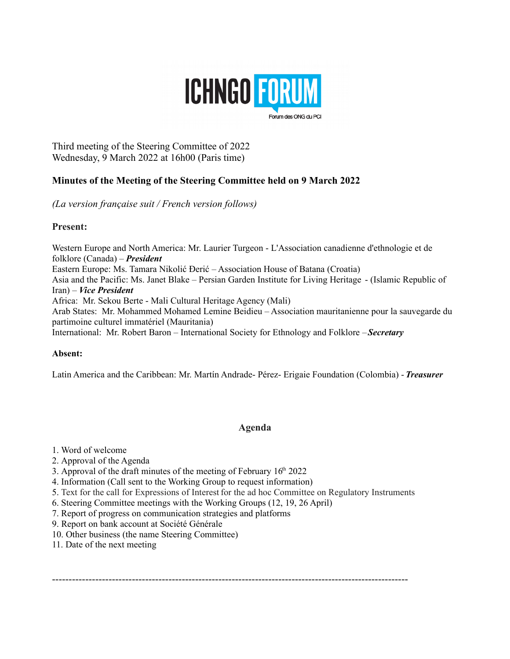

Third meeting of the Steering Committee of 2022 Wednesday, 9 March 2022 at 16h00 (Paris time)

# **Minutes of the Meeting of the Steering Committee held on 9 March 2022**

*(La version française suit / French version follows)*

## **Present:**

Western Europe and North America: Mr. Laurier Turgeon - L'Association canadienne d'ethnologie et de folklore (Canada) – *President* Eastern Europe: Ms. Tamara Nikolić Đerić – Association House of Batana (Croatia) Asia and the Pacific: Ms. Janet Blake – Persian Garden Institute for Living Heritage - (Islamic Republic of Iran) – *Vice President* Africa: Mr. Sekou Berte - Mali Cultural Heritage Agency (Mali) Arab States: Mr. Mohammed Mohamed Lemine Beidieu – Association mauritanienne pour la sauvegarde du partimoine culturel immatériel (Mauritania) International: Mr. Robert Baron – International Society for Ethnology and Folklore – *Secretary*

## **Absent:**

Latin America and the Caribbean: Mr. Martín Andrade- Pérez- Erigaie Foundation (Colombia) - *Treasurer*

# **Agenda**

- 1. Word of welcome
- 2. Approval of the Agenda
- 3. Approval of the draft minutes of the meeting of February  $16<sup>th</sup> 2022$
- 4. Information (Call sent to the Working Group to request information)
- 5. Text for the call for Expressions of Interest for the ad hoc Committee on Regulatory Instruments
- 6. Steering Committee meetings with the Working Groups (12, 19, 26 April)
- 7. Report of progress on communication strategies and platforms
- 9. Report on bank account at Société Générale
- 10. Other business (the name Steering Committee)
- 11. Date of the next meeting

-----------------------------------------------------------------------------------------------------------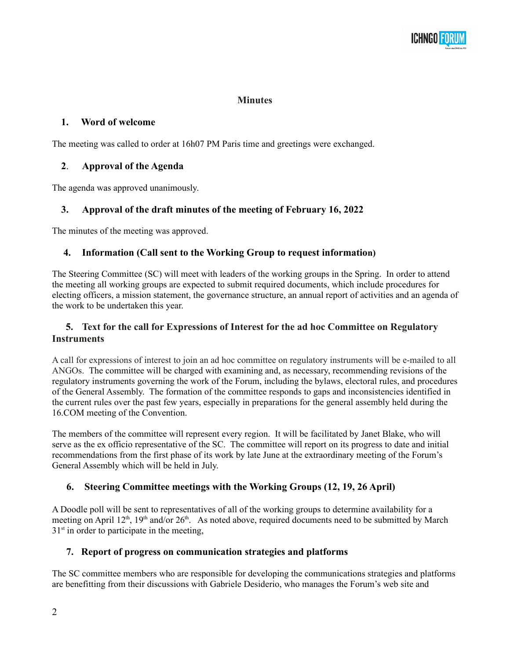# **Minutes**

## **1. Word of welcome**

The meeting was called to order at 16h07 PM Paris time and greetings were exchanged.

# **2**. **Approval of the Agenda**

The agenda was approved unanimously.

# **3. Approval of the draft minutes of the meeting of February 16, 2022**

The minutes of the meeting was approved.

# **4. Information (Call sent to the Working Group to request information)**

The Steering Committee (SC) will meet with leaders of the working groups in the Spring. In order to attend the meeting all working groups are expected to submit required documents, which include procedures for electing officers, a mission statement, the governance structure, an annual report of activities and an agenda of the work to be undertaken this year.

# **5. Text for the call for Expressions of Interest for the ad hoc Committee on Regulatory Instruments**

A call for expressions of interest to join an ad hoc committee on regulatory instruments will be e-mailed to all ANGOs. The committee will be charged with examining and, as necessary, recommending revisions of the regulatory instruments governing the work of the Forum, including the bylaws, electoral rules, and procedures of the General Assembly. The formation of the committee responds to gaps and inconsistencies identified in the current rules over the past few years, especially in preparations for the general assembly held during the 16.COM meeting of the Convention.

The members of the committee will represent every region. It will be facilitated by Janet Blake, who will serve as the ex officio representative of the SC. The committee will report on its progress to date and initial recommendations from the first phase of its work by late June at the extraordinary meeting of the Forum's General Assembly which will be held in July.

# **6. Steering Committee meetings with the Working Groups (12, 19, 26 April)**

A Doodle poll will be sent to representatives of all of the working groups to determine availability for a meeting on April 12<sup>th</sup>, 19<sup>th</sup> and/or 26<sup>th</sup>. As noted above, required documents need to be submitted by March  $31<sup>st</sup>$  in order to participate in the meeting,

# **7. Report of progress on communication strategies and platforms**

The SC committee members who are responsible for developing the communications strategies and platforms are benefitting from their discussions with Gabriele Desiderio, who manages the Forum's web site and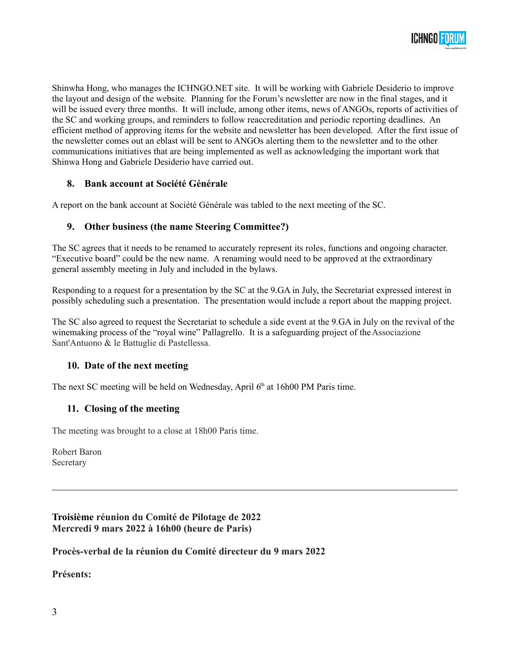

Shinwha Hong, who manages the ICHNGO.NET site. It will be working with Gabriele Desiderio to improve the layout and design of the website. Planning for the Forum's newsletter are now in the final stages, and it will be issued every three months. It will include, among other items, news of ANGOs, reports of activities of the SC and working groups, and reminders to follow reaccreditation and periodic reporting deadlines. An efficient method of approving items for the website and newsletter has been developed. After the first issue of the newsletter comes out an eblast will be sent to ANGOs alerting them to the newsletter and to the other communications initiatives that are being implemented as well as acknowledging the important work that Shinwa Hong and Gabriele Desiderio have carried out.

## **8. Bank account at Société Générale**

A report on the bank account at Société Générale was tabled to the next meeting of the SC.

### **9. Other business (the name Steering Committee?)**

The SC agrees that it needs to be renamed to accurately represent its roles, functions and ongoing character. "Executive board" could be the new name. A renaming would need to be approved at the extraordinary general assembly meeting in July and included in the bylaws.

Responding to a request for a presentation by the SC at the 9.GA in July, the Secretariat expressed interest in possibly scheduling such a presentation. The presentation would include a report about the mapping project.

The SC also agreed to request the Secretariat to schedule a side event at the 9.GA in July on the revival of the winemaking process of the "royal wine" Pallagrello. It is a safeguarding project of the Associazione Sant'Antuono & le Battuglie di Pastellessa.

#### **10. Date of the next meeting**

The next SC meeting will be held on Wednesday, April  $6<sup>th</sup>$  at 16h00 PM Paris time.

#### **11. Closing of the meeting**

The meeting was brought to a close at 18h00 Paris time.

Robert Baron Secretary

**Troisième réunion du Comité de Pilotage de 2022 Mercredi 9 mars 2022 à 16h00 (heure de Paris)**

**Procès-verbal de la réunion du Comité directeur du 9 mars 2022**

**Présents:**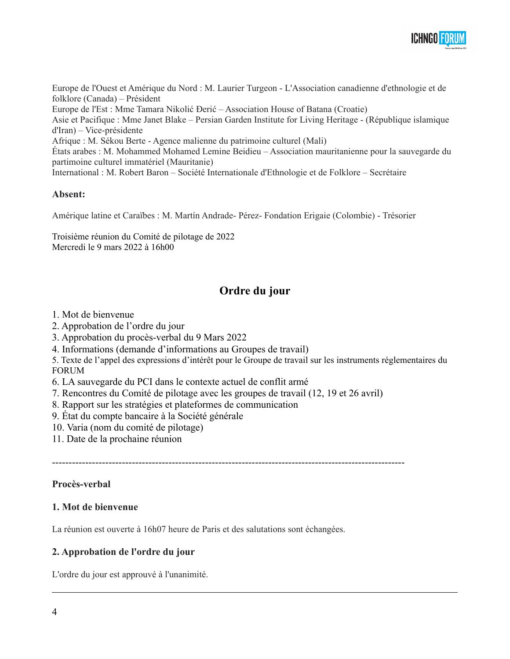

Europe de l'Ouest et Amérique du Nord : M. Laurier Turgeon - L'Association canadienne d'ethnologie et de folklore (Canada) – Président Europe de l'Est : Mme Tamara Nikolić Đerić – Association House of Batana (Croatie) Asie et Pacifique : Mme Janet Blake – Persian Garden Institute for Living Heritage - (République islamique d'Iran) – Vice-présidente Afrique : M. Sékou Berte - Agence malienne du patrimoine culturel (Mali) États arabes : M. Mohammed Mohamed Lemine Beidieu – Association mauritanienne pour la sauvegarde du partimoine culturel immatériel (Mauritanie) International : M. Robert Baron – Société Internationale d'Ethnologie et de Folklore – Secrétaire

#### **Absent:**

Amérique latine et Caraïbes : M. Martín Andrade- Pérez- Fondation Erigaie (Colombie) - Trésorier

Troisième réunion du Comité de pilotage de 2022 Mercredi le 9 mars 2022 à 16h00

# **Ordre du jour**

- 1. Mot de bienvenue
- 2. Approbation de l'ordre du jour
- 3. Approbation du procès-verbal du 9 Mars 2022
- 4. Informations (demande d'informations au Groupes de travail)
- 5. Texte de l'appel des expressions d'intérêt pour le Groupe de travail sur les instruments réglementaires du FORUM
- 6. LA sauvegarde du PCI dans le contexte actuel de conflit armé
- 7. Rencontres du Comité de pilotage avec les groupes de travail (12, 19 et 26 avril)
- 8. Rapport sur les stratégies et plateformes de communication
- 9. État du compte bancaire à la Société générale
- 10. Varia (nom du comité de pilotage)
- 11. Date de la prochaine réunion

----------------------------------------------------------------------------------------------------------

## **Procès-verbal**

#### **1. Mot de bienvenue**

La réunion est ouverte à 16h07 heure de Paris et des salutations sont échangées.

## **2. Approbation de l'ordre du jour**

L'ordre du jour est approuvé à l'unanimité.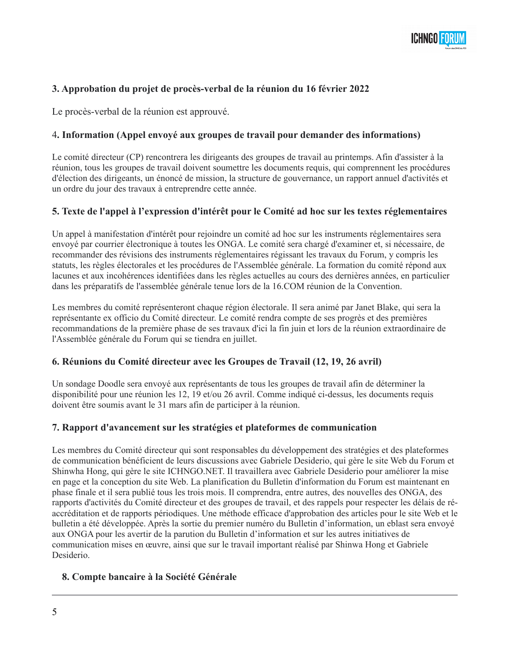

# **3. Approbation du projet de procès-verbal de la réunion du 16 février 2022**

Le procès-verbal de la réunion est approuvé.

## 4**. Information (Appel envoyé aux groupes de travail pour demander des informations)**

Le comité directeur (CP) rencontrera les dirigeants des groupes de travail au printemps. Afin d'assister à la réunion, tous les groupes de travail doivent soumettre les documents requis, qui comprennent les procédures d'élection des dirigeants, un énoncé de mission, la structure de gouvernance, un rapport annuel d'activités et un ordre du jour des travaux à entreprendre cette année.

### **5. Texte de l'appel à l'expression d'intérêt pour le Comité ad hoc sur les textes réglementaires**

Un appel à manifestation d'intérêt pour rejoindre un comité ad hoc sur les instruments réglementaires sera envoyé par courrier électronique à toutes les ONGA. Le comité sera chargé d'examiner et, si nécessaire, de recommander des révisions des instruments réglementaires régissant les travaux du Forum, y compris les statuts, les règles électorales et les procédures de l'Assemblée générale. La formation du comité répond aux lacunes et aux incohérences identifiées dans les règles actuelles au cours des dernières années, en particulier dans les préparatifs de l'assemblée générale tenue lors de la 16.COM réunion de la Convention.

Les membres du comité représenteront chaque région électorale. Il sera animé par Janet Blake, qui sera la représentante ex officio du Comité directeur. Le comité rendra compte de ses progrès et des premières recommandations de la première phase de ses travaux d'ici la fin juin et lors de la réunion extraordinaire de l'Assemblée générale du Forum qui se tiendra en juillet.

#### **6. Réunions du Comité directeur avec les Groupes de Travail (12, 19, 26 avril)**

Un sondage Doodle sera envoyé aux représentants de tous les groupes de travail afin de déterminer la disponibilité pour une réunion les 12, 19 et/ou 26 avril. Comme indiqué ci-dessus, les documents requis doivent être soumis avant le 31 mars afin de participer à la réunion.

#### **7. Rapport d'avancement sur les stratégies et plateformes de communication**

Les membres du Comité directeur qui sont responsables du développement des stratégies et des plateformes de communication bénéficient de leurs discussions avec Gabriele Desiderio, qui gère le site Web du Forum et Shinwha Hong, qui gère le site ICHNGO.NET. Il travaillera avec Gabriele Desiderio pour améliorer la mise en page et la conception du site Web. La planification du Bulletin d'information du Forum est maintenant en phase finale et il sera publié tous les trois mois. Il comprendra, entre autres, des nouvelles des ONGA, des rapports d'activités du Comité directeur et des groupes de travail, et des rappels pour respecter les délais de réaccréditation et de rapports périodiques. Une méthode efficace d'approbation des articles pour le site Web et le bulletin a été développée. Après la sortie du premier numéro du Bulletin d'information, un eblast sera envoyé aux ONGA pour les avertir de la parution du Bulletin d'information et sur les autres initiatives de communication mises en œuvre, ainsi que sur le travail important réalisé par Shinwa Hong et Gabriele Desiderio.

#### **8. Compte bancaire à la Société Générale**